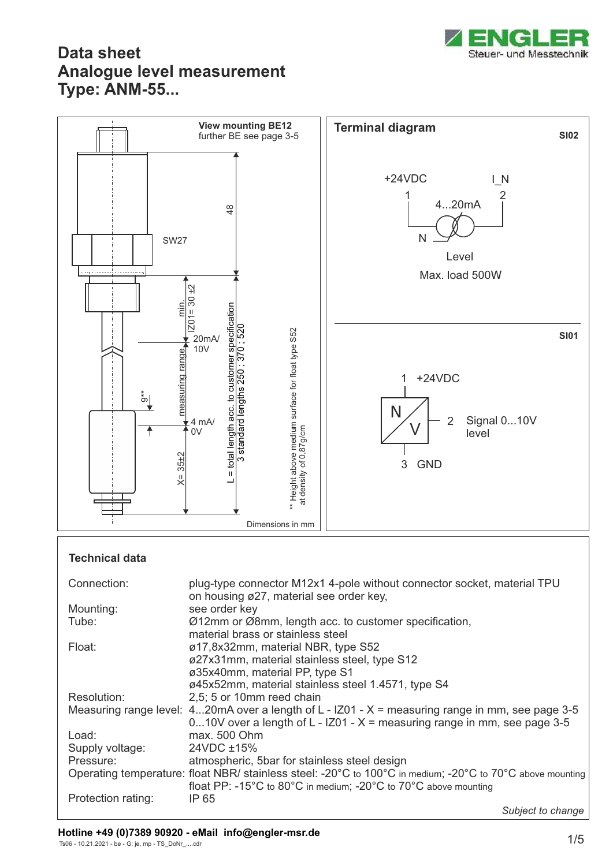



#### **Technical data**

| Connection:        | plug-type connector M12x1 4-pole without connector socket, material TPU<br>on housing ø27, material see order key,                                                                                                       |
|--------------------|--------------------------------------------------------------------------------------------------------------------------------------------------------------------------------------------------------------------------|
| Mounting:          | see order key                                                                                                                                                                                                            |
| Tube:              | Ø12mm or Ø8mm, length acc. to customer specification,<br>material brass or stainless steel                                                                                                                               |
| Float:             | ø17,8x32mm, material NBR, type S52                                                                                                                                                                                       |
|                    | ø27x31mm, material stainless steel, type S12                                                                                                                                                                             |
|                    | ø35x40mm, material PP, type S1                                                                                                                                                                                           |
|                    | ø45x52mm, material stainless steel 1.4571, type S4                                                                                                                                                                       |
| Resolution:        | 2,5; 5 or 10mm reed chain                                                                                                                                                                                                |
|                    | Measuring range level: $420$ mA over a length of L - IZ01 - X = measuring range in mm, see page 3-5                                                                                                                      |
|                    | 010V over a length of L - IZ01 - $X =$ measuring range in mm, see page 3-5                                                                                                                                               |
| Load:              | max. 500 Ohm                                                                                                                                                                                                             |
| Supply voltage:    | 24VDC ±15%                                                                                                                                                                                                               |
| Pressure:          | atmospheric, 5bar for stainless steel design                                                                                                                                                                             |
|                    | Operating temperature: float NBR/ stainless steel: -20°C to 100°C in medium; -20°C to 70°C above mounting<br>float PP: -15 $^{\circ}$ C to 80 $^{\circ}$ C in medium; -20 $^{\circ}$ C to 70 $^{\circ}$ C above mounting |
| Protection rating: | IP 65                                                                                                                                                                                                                    |
|                    | Subject to change                                                                                                                                                                                                        |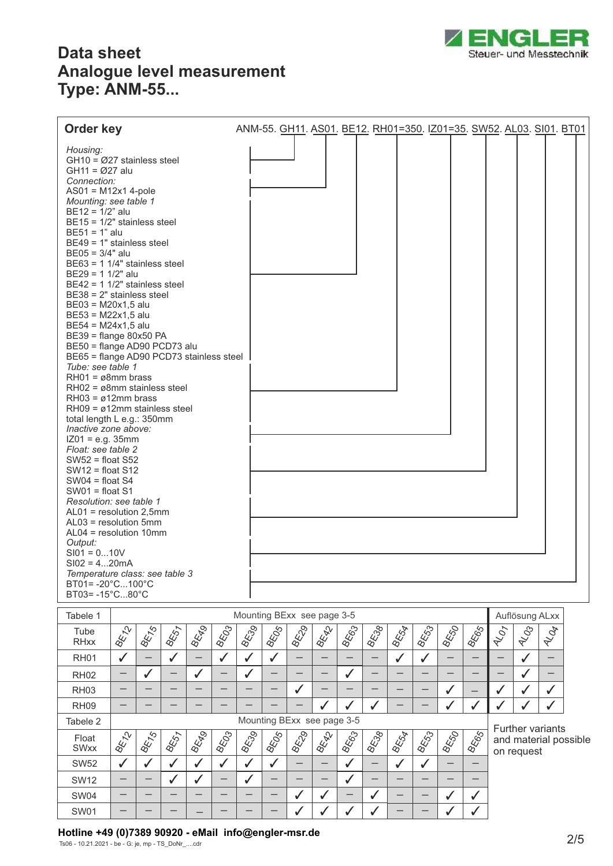

| Housing:<br>$GH10 = \emptyset$ 27 stainless steel                                                                                                                                                                                                                                                                                                                                                                                                                                                                                                                                                                                                                                                                                                                                                                                                                                                                                                                                                                                                                                                                                                     |
|-------------------------------------------------------------------------------------------------------------------------------------------------------------------------------------------------------------------------------------------------------------------------------------------------------------------------------------------------------------------------------------------------------------------------------------------------------------------------------------------------------------------------------------------------------------------------------------------------------------------------------------------------------------------------------------------------------------------------------------------------------------------------------------------------------------------------------------------------------------------------------------------------------------------------------------------------------------------------------------------------------------------------------------------------------------------------------------------------------------------------------------------------------|
| $GH11 = Ø27$ alu<br>Connection:<br>$AS01 = M12x14-pole$<br>Mounting: see table 1<br>$BE12 = 1/2"$ alu<br>$BE15 = 1/2"$ stainless steel<br>$BE51 = 1"$ alu<br>$BE49 = 1"$ stainless steel<br>$BE05 = 3/4"$ alu<br>$BE63 = 11/4"$ stainless steel<br>$BE29 = 11/2"$ alu<br>$BE42 = 11/2"$ stainless steel<br>$BE38 = 2"$ stainless steel<br>$BE03 = M20x1,5$ alu<br>$BE53 = M22x1,5$ alu<br>$BE54 = M24x1,5$ alu<br>BE39 = flange 80x50 PA<br>BE50 = flange AD90 PCD73 alu<br>BE65 = flange AD90 PCD73 stainless steel<br>Tube: see table 1<br>$RH01 = \varnothing 8mm$ brass<br>$RH02 = \varnothing$ 8mm stainless steel<br>$RH03 = \emptyset12mm$ brass<br>$RH09 = \emptyset12$ mm stainless steel<br>total length L e.g.: 350mm<br>Inactive zone above:<br>$IZ01 = e.g. 35mm$<br>Float: see table 2<br>$SW52 = float S52$<br>$SW12 = float S12$<br>$SW04 = float S4$<br>$SW01 = float S1$<br>Resolution: see table 1<br>$AL01$ = resolution 2,5mm<br>$AL03$ = resolution 5mm<br>$AL04 = resolution 10mm$<br>Output:<br>$SIO1 = 010V$<br>$S102 = 420mA$<br>Temperature class: see table 3<br>$BT01 = -20^{\circ}$ C100 $^{\circ}$ C<br>BT03=-15°C80°C |

| Tabele 1             | Mounting BExx see page 3-5 |               |             |             |       |            |             |            |      |             |      |                         | Auflösung ALxx |      |             |                   |            |                       |  |
|----------------------|----------------------------|---------------|-------------|-------------|-------|------------|-------------|------------|------|-------------|------|-------------------------|----------------|------|-------------|-------------------|------------|-----------------------|--|
| Tube<br><b>RHxx</b>  | <b>BENCY</b>               | 184.50        | <b>BEST</b> | <b>BEFO</b> | 18503 | BESO       | <b>BEGS</b> | BEDG       | BEAT | <b>BE63</b> | BECO | BELA                    | BESS           | BESO | BEGS        | $A/\mathcal{O}_7$ | RIDS       | NOT                   |  |
| <b>RH01</b>          | ✓                          |               |             |             |       | J          |             |            |      |             |      |                         |                |      |             |                   |            |                       |  |
| <b>RH02</b>          | —                          | ✔             | —           |             |       | √          |             |            |      | ັ           |      |                         |                |      |             |                   |            |                       |  |
| <b>RH03</b>          |                            |               |             |             |       |            |             |            |      |             |      |                         |                |      |             |                   |            |                       |  |
| RH <sub>09</sub>     |                            |               |             |             |       |            |             |            |      |             |      |                         |                |      | ✔           |                   |            |                       |  |
| Tabele 2             | Mounting BExx see page 3-5 |               |             |             |       |            |             |            |      |             |      | <b>Further variants</b> |                |      |             |                   |            |                       |  |
|                      |                            |               |             |             |       |            |             |            |      |             |      |                         |                |      |             |                   |            |                       |  |
| Float<br><b>SWxx</b> | <b>BEN</b> CY              | $\frac{1}{8}$ | <b>BEST</b> | <b>BEFO</b> | BECCO | <b>BES</b> | BEDS        | <b>BED</b> | BEAT | <b>BEG3</b> | BECO | BEST                    | BEGS           | BESO | <b>BEGS</b> |                   |            | and material possible |  |
| <b>SW52</b>          | ✓                          |               |             |             |       | ✔          | √           |            |      | v           |      |                         |                |      |             |                   | on request |                       |  |
| <b>SW12</b>          | —                          |               |             |             |       | √          | –           |            |      |             | –    |                         |                |      |             |                   |            |                       |  |
| SW04                 |                            |               |             |             |       |            |             |            |      |             |      |                         |                |      | ✓           |                   |            |                       |  |

**Hotline +49 (0)7389 90920 - eMail info@engler-msr.de** 2/5

Ts06 - 10.21.2021 - be - G: je, mp - TS\_DoNr\_....cdr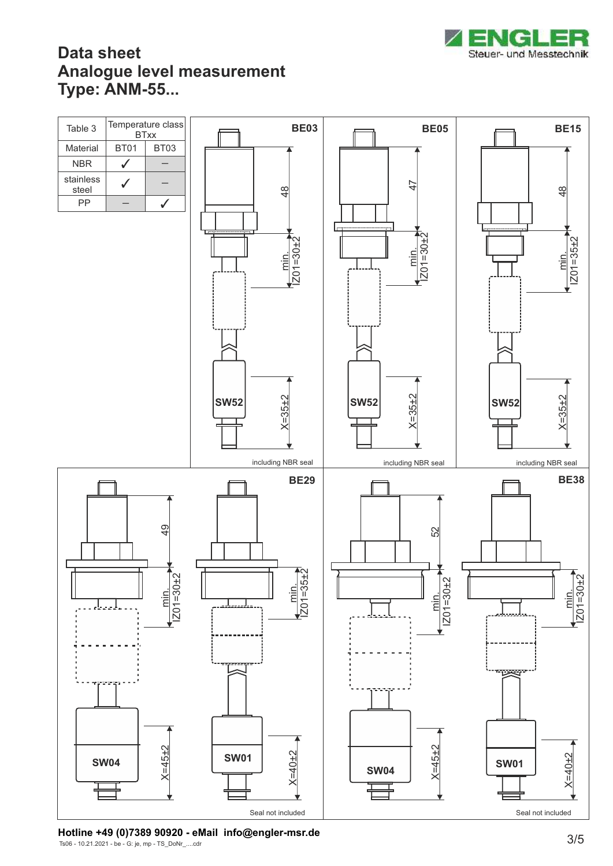



Ts06 - 10.21.2021 - be - G: je, mp - TS\_DoNr\_....cdr **Hotline +49 (0)7389 90920 - eMail info@engler-msr.de** 3/5<br>
The 49313934 be Giama TS Pells edge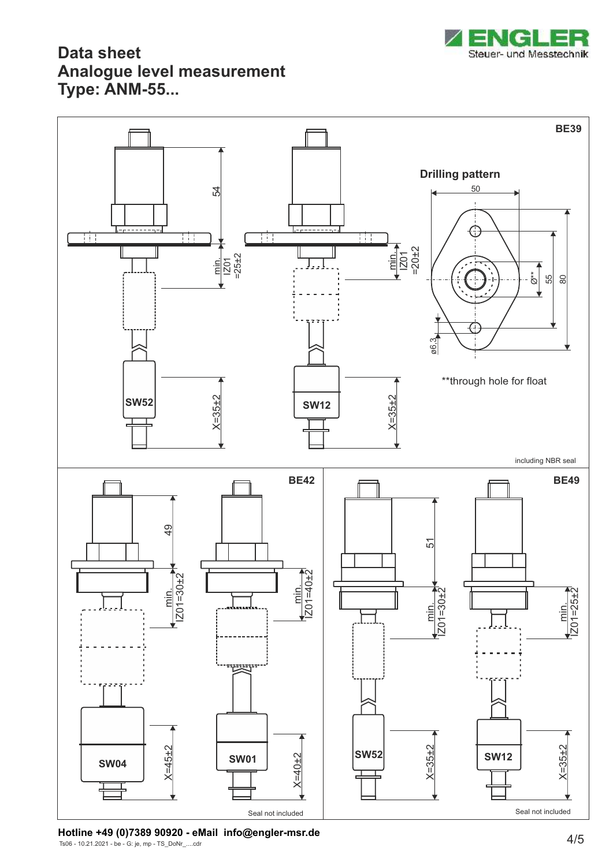



Ts06 - 10.21.2021 - be - G: je, mp - TS\_DoNr\_....cdr **Hotline +49 (0)7389 90920 - eMail info@engler-msr.de** 4/5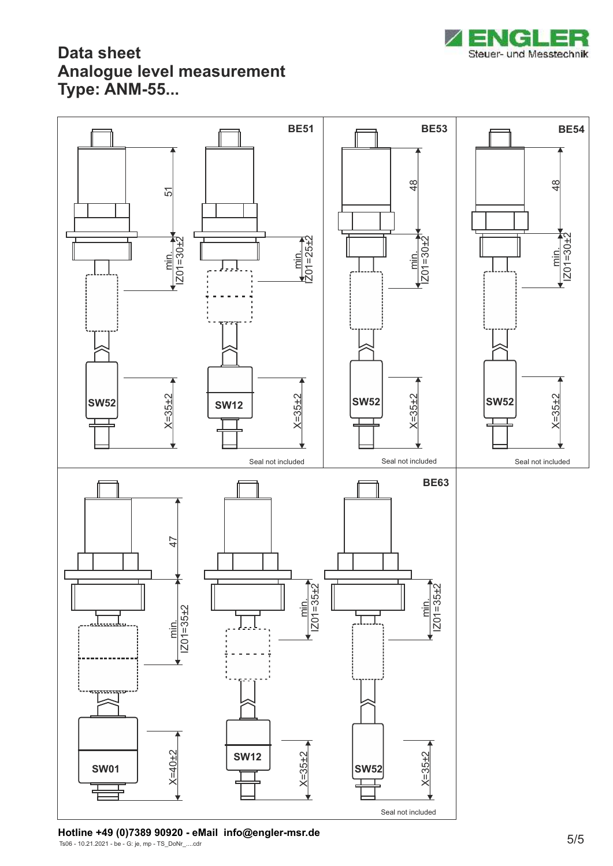



Ts06 - 10.21.2021 - be - G: je, mp - TS\_DoNr\_....cdr **Hotline +49 (0)7389 90920 - eMail info@engler-msr.de** 5/5<br>
Fee 1931 3934 be Gile ma TS Pelly edge of the state of the state of the state of the state of the state of the state of the state of the state of the state of the